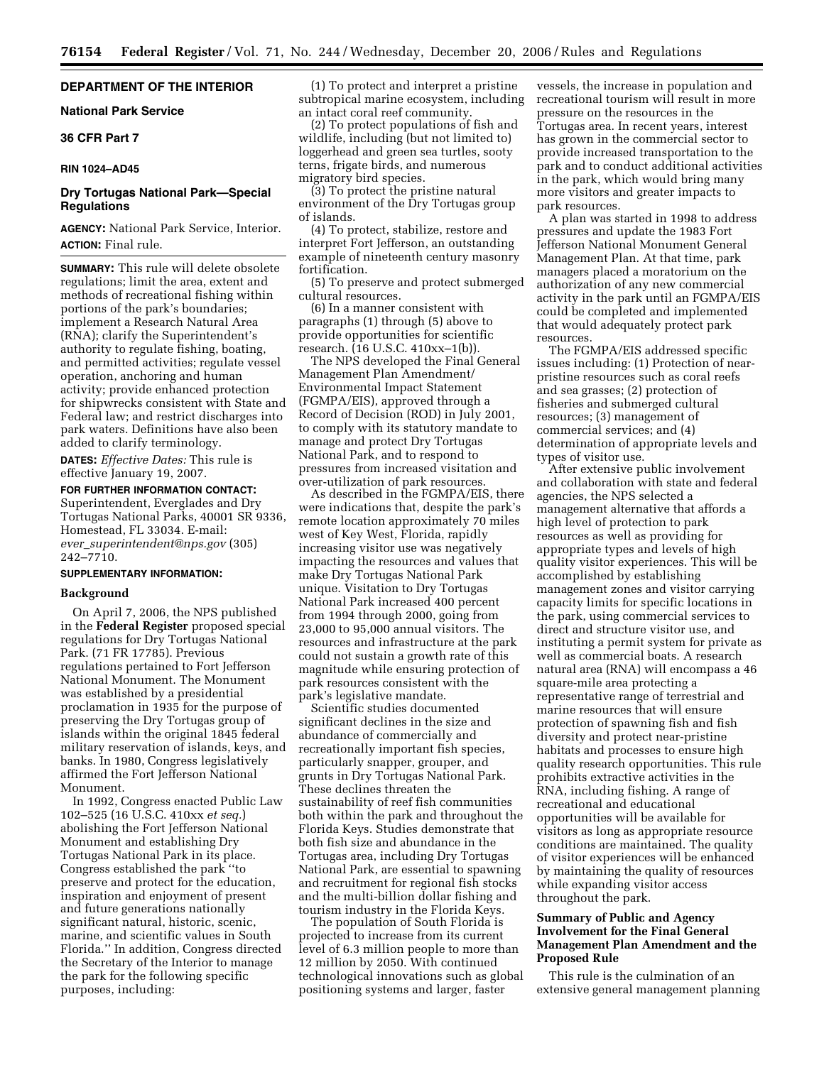# **DEPARTMENT OF THE INTERIOR**

# **National Park Service**

# **36 CFR Part 7**

#### **RIN 1024–AD45**

# **Dry Tortugas National Park—Special Regulations**

**AGENCY:** National Park Service, Interior. **ACTION:** Final rule.

**SUMMARY:** This rule will delete obsolete regulations; limit the area, extent and methods of recreational fishing within portions of the park's boundaries; implement a Research Natural Area (RNA); clarify the Superintendent's authority to regulate fishing, boating, and permitted activities; regulate vessel operation, anchoring and human activity; provide enhanced protection for shipwrecks consistent with State and Federal law; and restrict discharges into park waters. Definitions have also been added to clarify terminology.

**DATES:** *Effective Dates:* This rule is effective January 19, 2007.

**FOR FURTHER INFORMATION CONTACT:**  Superintendent, Everglades and Dry Tortugas National Parks, 40001 SR 9336, Homestead, FL 33034. E-mail: *ever*\_*[superintendent@nps.gov](mailto:ever_superintendent@nps.gov)* (305) 242–7710.

### **SUPPLEMENTARY INFORMATION:**

#### **Background**

On April 7, 2006, the NPS published in the **Federal Register** proposed special regulations for Dry Tortugas National Park. (71 FR 17785). Previous regulations pertained to Fort Jefferson National Monument. The Monument was established by a presidential proclamation in 1935 for the purpose of preserving the Dry Tortugas group of islands within the original 1845 federal military reservation of islands, keys, and banks. In 1980, Congress legislatively affirmed the Fort Jefferson National Monument.

In 1992, Congress enacted Public Law 102–525 (16 U.S.C. 410xx *et seq.*) abolishing the Fort Jefferson National Monument and establishing Dry Tortugas National Park in its place. Congress established the park ''to preserve and protect for the education, inspiration and enjoyment of present and future generations nationally significant natural, historic, scenic, marine, and scientific values in South Florida.'' In addition, Congress directed the Secretary of the Interior to manage the park for the following specific purposes, including:

(1) To protect and interpret a pristine subtropical marine ecosystem, including an intact coral reef community.

(2) To protect populations of fish and wildlife, including (but not limited to) loggerhead and green sea turtles, sooty terns, frigate birds, and numerous migratory bird species.

(3) To protect the pristine natural environment of the Dry Tortugas group of islands.

(4) To protect, stabilize, restore and interpret Fort Jefferson, an outstanding example of nineteenth century masonry fortification.

(5) To preserve and protect submerged cultural resources.

(6) In a manner consistent with paragraphs (1) through (5) above to provide opportunities for scientific research. (16 U.S.C. 410xx–1(b)).

The NPS developed the Final General Management Plan Amendment/ Environmental Impact Statement (FGMPA/EIS), approved through a Record of Decision (ROD) in July 2001, to comply with its statutory mandate to manage and protect Dry Tortugas National Park, and to respond to pressures from increased visitation and over-utilization of park resources.

As described in the FGMPA/EIS, there were indications that, despite the park's remote location approximately 70 miles west of Key West, Florida, rapidly increasing visitor use was negatively impacting the resources and values that make Dry Tortugas National Park unique. Visitation to Dry Tortugas National Park increased 400 percent from 1994 through 2000, going from 23,000 to 95,000 annual visitors. The resources and infrastructure at the park could not sustain a growth rate of this magnitude while ensuring protection of park resources consistent with the park's legislative mandate.

Scientific studies documented significant declines in the size and abundance of commercially and recreationally important fish species, particularly snapper, grouper, and grunts in Dry Tortugas National Park. These declines threaten the sustainability of reef fish communities both within the park and throughout the Florida Keys. Studies demonstrate that both fish size and abundance in the Tortugas area, including Dry Tortugas National Park, are essential to spawning and recruitment for regional fish stocks and the multi-billion dollar fishing and tourism industry in the Florida Keys.

The population of South Florida is projected to increase from its current level of 6.3 million people to more than 12 million by 2050. With continued technological innovations such as global positioning systems and larger, faster

vessels, the increase in population and recreational tourism will result in more pressure on the resources in the Tortugas area. In recent years, interest has grown in the commercial sector to provide increased transportation to the park and to conduct additional activities in the park, which would bring many more visitors and greater impacts to park resources.

A plan was started in 1998 to address pressures and update the 1983 Fort Jefferson National Monument General Management Plan. At that time, park managers placed a moratorium on the authorization of any new commercial activity in the park until an FGMPA/EIS could be completed and implemented that would adequately protect park resources.

The FGMPA/EIS addressed specific issues including: (1) Protection of nearpristine resources such as coral reefs and sea grasses; (2) protection of fisheries and submerged cultural resources; (3) management of commercial services; and (4) determination of appropriate levels and types of visitor use.

After extensive public involvement and collaboration with state and federal agencies, the NPS selected a management alternative that affords a high level of protection to park resources as well as providing for appropriate types and levels of high quality visitor experiences. This will be accomplished by establishing management zones and visitor carrying capacity limits for specific locations in the park, using commercial services to direct and structure visitor use, and instituting a permit system for private as well as commercial boats. A research natural area (RNA) will encompass a 46 square-mile area protecting a representative range of terrestrial and marine resources that will ensure protection of spawning fish and fish diversity and protect near-pristine habitats and processes to ensure high quality research opportunities. This rule prohibits extractive activities in the RNA, including fishing. A range of recreational and educational opportunities will be available for visitors as long as appropriate resource conditions are maintained. The quality of visitor experiences will be enhanced by maintaining the quality of resources while expanding visitor access throughout the park.

## **Summary of Public and Agency Involvement for the Final General Management Plan Amendment and the Proposed Rule**

This rule is the culmination of an extensive general management planning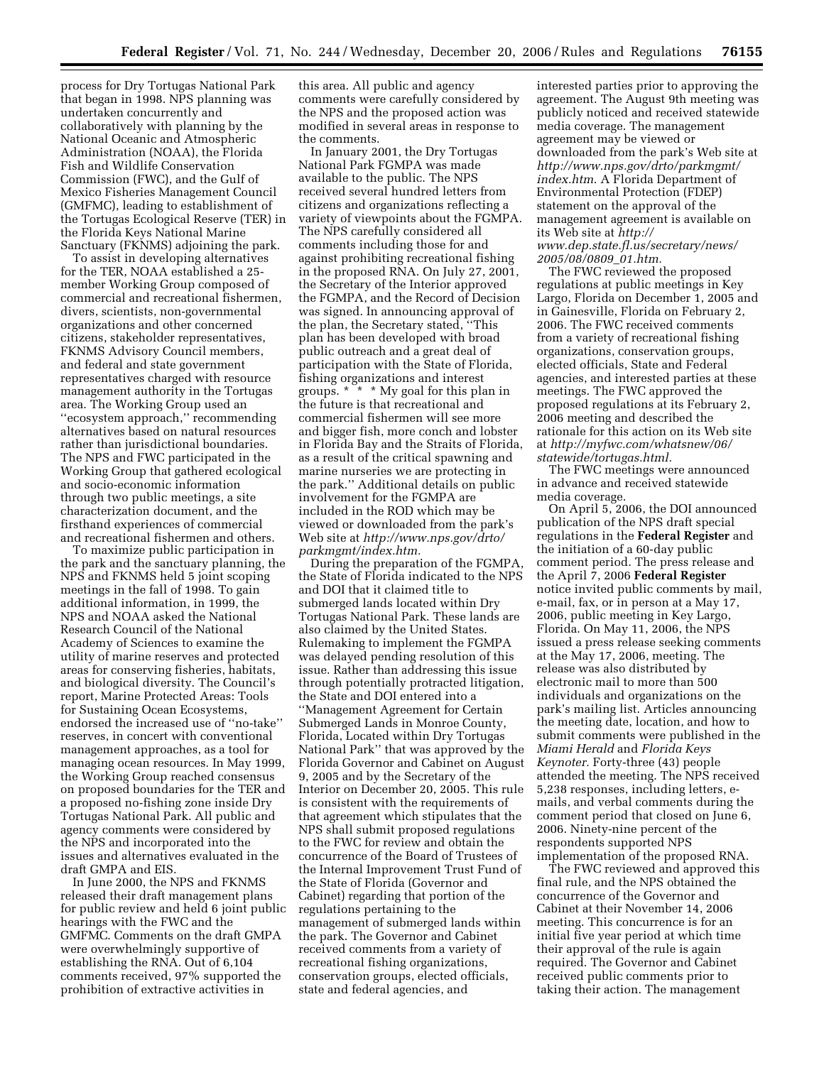process for Dry Tortugas National Park that began in 1998. NPS planning was undertaken concurrently and collaboratively with planning by the National Oceanic and Atmospheric Administration (NOAA), the Florida Fish and Wildlife Conservation Commission (FWC), and the Gulf of Mexico Fisheries Management Council (GMFMC), leading to establishment of the Tortugas Ecological Reserve (TER) in the Florida Keys National Marine Sanctuary (FKNMS) adjoining the park.

To assist in developing alternatives for the TER, NOAA established a 25 member Working Group composed of commercial and recreational fishermen, divers, scientists, non-governmental organizations and other concerned citizens, stakeholder representatives, FKNMS Advisory Council members, and federal and state government representatives charged with resource management authority in the Tortugas area. The Working Group used an ''ecosystem approach,'' recommending alternatives based on natural resources rather than jurisdictional boundaries. The NPS and FWC participated in the Working Group that gathered ecological and socio-economic information through two public meetings, a site characterization document, and the firsthand experiences of commercial and recreational fishermen and others.

To maximize public participation in the park and the sanctuary planning, the NPS and FKNMS held 5 joint scoping meetings in the fall of 1998. To gain additional information, in 1999, the NPS and NOAA asked the National Research Council of the National Academy of Sciences to examine the utility of marine reserves and protected areas for conserving fisheries, habitats, and biological diversity. The Council's report, Marine Protected Areas: Tools for Sustaining Ocean Ecosystems, endorsed the increased use of ''no-take'' reserves, in concert with conventional management approaches, as a tool for managing ocean resources. In May 1999, the Working Group reached consensus on proposed boundaries for the TER and a proposed no-fishing zone inside Dry Tortugas National Park. All public and agency comments were considered by the NPS and incorporated into the issues and alternatives evaluated in the draft GMPA and EIS.

In June 2000, the NPS and FKNMS released their draft management plans for public review and held 6 joint public hearings with the FWC and the GMFMC. Comments on the draft GMPA were overwhelmingly supportive of establishing the RNA. Out of 6,104 comments received, 97% supported the prohibition of extractive activities in

this area. All public and agency comments were carefully considered by the NPS and the proposed action was modified in several areas in response to the comments.

In January 2001, the Dry Tortugas National Park FGMPA was made available to the public. The NPS received several hundred letters from citizens and organizations reflecting a variety of viewpoints about the FGMPA. The NPS carefully considered all comments including those for and against prohibiting recreational fishing in the proposed RNA. On July 27, 2001, the Secretary of the Interior approved the FGMPA, and the Record of Decision was signed. In announcing approval of the plan, the Secretary stated, ''This plan has been developed with broad public outreach and a great deal of participation with the State of Florida, fishing organizations and interest groups. \* \* \* My goal for this plan in the future is that recreational and commercial fishermen will see more and bigger fish, more conch and lobster in Florida Bay and the Straits of Florida, as a result of the critical spawning and marine nurseries we are protecting in the park.'' Additional details on public involvement for the FGMPA are included in the ROD which may be viewed or downloaded from the park's Web site at *[http://www.nps.gov/drto/](http://www.nps.gov/drto/parkmgmt/index.htm)  parkmgmt/index.htm.* 

During the preparation of the FGMPA, the State of Florida indicated to the NPS and DOI that it claimed title to submerged lands located within Dry Tortugas National Park. These lands are also claimed by the United States. Rulemaking to implement the FGMPA was delayed pending resolution of this issue. Rather than addressing this issue through potentially protracted litigation, the State and DOI entered into a ''Management Agreement for Certain Submerged Lands in Monroe County, Florida, Located within Dry Tortugas National Park'' that was approved by the Florida Governor and Cabinet on August 9, 2005 and by the Secretary of the Interior on December 20, 2005. This rule is consistent with the requirements of that agreement which stipulates that the NPS shall submit proposed regulations to the FWC for review and obtain the concurrence of the Board of Trustees of the Internal Improvement Trust Fund of the State of Florida (Governor and Cabinet) regarding that portion of the regulations pertaining to the management of submerged lands within the park. The Governor and Cabinet received comments from a variety of recreational fishing organizations, conservation groups, elected officials, state and federal agencies, and

interested parties prior to approving the agreement. The August 9th meeting was publicly noticed and received statewide media coverage. The management agreement may be viewed or downloaded from the park's Web site at *[http://www.nps.gov/drto/parkmgmt/](http://www.nps.gov/drto/parkmgmt/index.htm)  index.htm*. A Florida Department of Environmental Protection (FDEP) statement on the approval of the management agreement is available on its Web site at *http:// [www.dep.state.fl.us/secretary/news/](http://www.dep.state.fl.us/secretary/news/2005/08/0809_01.htm)* 

*2005/08/0809*\_*01.htm.*  The FWC reviewed the proposed regulations at public meetings in Key Largo, Florida on December 1, 2005 and in Gainesville, Florida on February 2, 2006. The FWC received comments from a variety of recreational fishing organizations, conservation groups, elected officials, State and Federal agencies, and interested parties at these meetings. The FWC approved the proposed regulations at its February 2, 2006 meeting and described the rationale for this action on its Web site at *[http://myfwc.com/whatsnew/06/](http://myfwc.com/whatsnew/06/statewide/tortugas.html)  statewide/tortugas.html.* 

The FWC meetings were announced in advance and received statewide media coverage.

On April 5, 2006, the DOI announced publication of the NPS draft special regulations in the **Federal Register** and the initiation of a 60-day public comment period. The press release and the April 7, 2006 **Federal Register**  notice invited public comments by mail, e-mail, fax, or in person at a May 17, 2006, public meeting in Key Largo, Florida. On May 11, 2006, the NPS issued a press release seeking comments at the May 17, 2006, meeting. The release was also distributed by electronic mail to more than 500 individuals and organizations on the park's mailing list. Articles announcing the meeting date, location, and how to submit comments were published in the *Miami Herald* and *Florida Keys Keynoter.* Forty-three (43) people attended the meeting. The NPS received 5,238 responses, including letters, emails, and verbal comments during the comment period that closed on June 6, 2006. Ninety-nine percent of the respondents supported NPS implementation of the proposed RNA.

The FWC reviewed and approved this final rule, and the NPS obtained the concurrence of the Governor and Cabinet at their November 14, 2006 meeting. This concurrence is for an initial five year period at which time their approval of the rule is again required. The Governor and Cabinet received public comments prior to taking their action. The management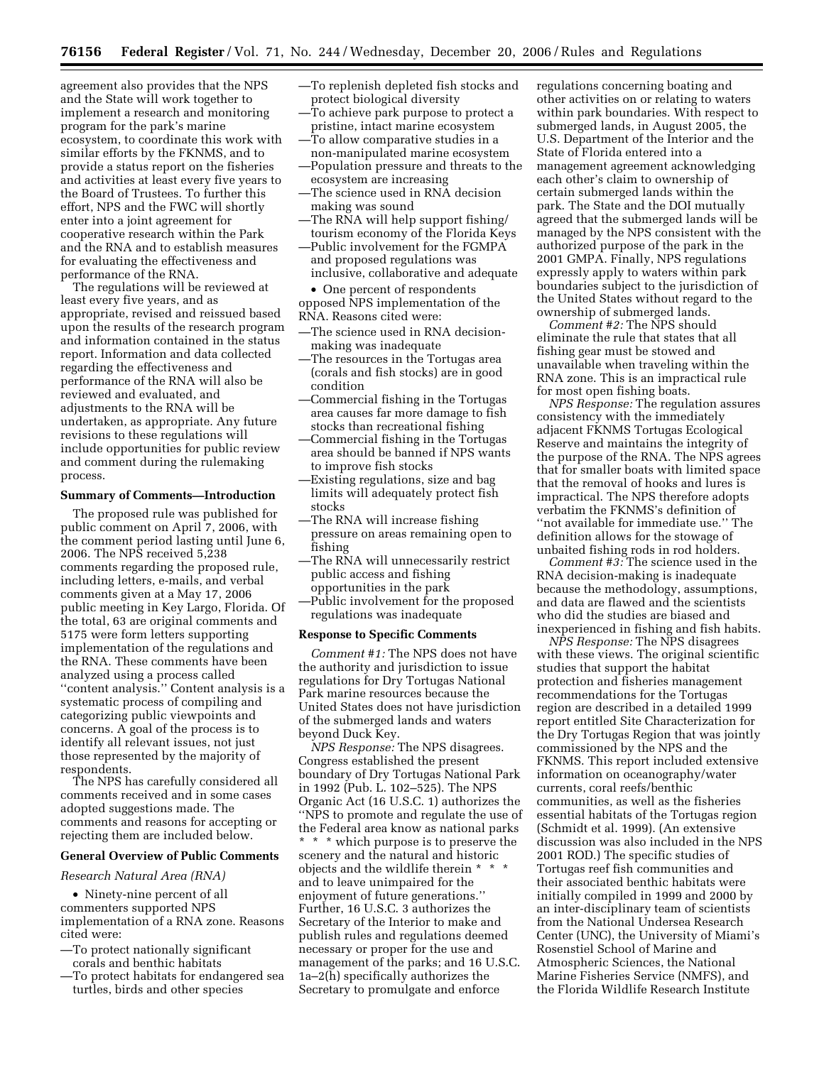agreement also provides that the NPS and the State will work together to implement a research and monitoring program for the park's marine ecosystem, to coordinate this work with similar efforts by the FKNMS, and to provide a status report on the fisheries and activities at least every five years to the Board of Trustees. To further this effort, NPS and the FWC will shortly enter into a joint agreement for cooperative research within the Park and the RNA and to establish measures for evaluating the effectiveness and performance of the RNA.

The regulations will be reviewed at least every five years, and as appropriate, revised and reissued based upon the results of the research program and information contained in the status report. Information and data collected regarding the effectiveness and performance of the RNA will also be reviewed and evaluated, and adjustments to the RNA will be undertaken, as appropriate. Any future revisions to these regulations will include opportunities for public review and comment during the rulemaking process.

#### **Summary of Comments—Introduction**

The proposed rule was published for public comment on April 7, 2006, with the comment period lasting until June 6, 2006. The NPS received 5,238 comments regarding the proposed rule, including letters, e-mails, and verbal comments given at a May 17, 2006 public meeting in Key Largo, Florida. Of the total, 63 are original comments and 5175 were form letters supporting implementation of the regulations and the RNA. These comments have been analyzed using a process called ''content analysis.'' Content analysis is a systematic process of compiling and categorizing public viewpoints and concerns. A goal of the process is to identify all relevant issues, not just those represented by the majority of respondents.

The NPS has carefully considered all comments received and in some cases adopted suggestions made. The comments and reasons for accepting or rejecting them are included below.

# **General Overview of Public Comments**

#### *Research Natural Area (RNA)*

• Ninety-nine percent of all commenters supported NPS implementation of a RNA zone. Reasons cited were:

- —To protect nationally significant corals and benthic habitats
- —To protect habitats for endangered sea turtles, birds and other species
- —To replenish depleted fish stocks and protect biological diversity
- —To achieve park purpose to protect a pristine, intact marine ecosystem
- —To allow comparative studies in a non-manipulated marine ecosystem
- —Population pressure and threats to the ecosystem are increasing
- —The science used in RNA decision making was sound
- —The RNA will help support fishing/ tourism economy of the Florida Keys
- —Public involvement for the FGMPA and proposed regulations was inclusive, collaborative and adequate

• One percent of respondents opposed NPS implementation of the RNA. Reasons cited were:

- —The science used in RNA decisionmaking was inadequate
- —The resources in the Tortugas area (corals and fish stocks) are in good condition
- —Commercial fishing in the Tortugas area causes far more damage to fish stocks than recreational fishing
- —Commercial fishing in the Tortugas area should be banned if NPS wants to improve fish stocks
- —Existing regulations, size and bag limits will adequately protect fish stocks
- —The RNA will increase fishing pressure on areas remaining open to fishing
- —The RNA will unnecessarily restrict public access and fishing opportunities in the park
- —Public involvement for the proposed regulations was inadequate

## **Response to Specific Comments**

*Comment #1:* The NPS does not have the authority and jurisdiction to issue regulations for Dry Tortugas National Park marine resources because the United States does not have jurisdiction of the submerged lands and waters beyond Duck Key.

*NPS Response:* The NPS disagrees. Congress established the present boundary of Dry Tortugas National Park in 1992 (Pub. L. 102–525). The NPS Organic Act (16 U.S.C. 1) authorizes the ''NPS to promote and regulate the use of the Federal area know as national parks \* \* \* which purpose is to preserve the scenery and the natural and historic objects and the wildlife therein \* \* \* and to leave unimpaired for the enjoyment of future generations.'' Further, 16 U.S.C. 3 authorizes the Secretary of the Interior to make and publish rules and regulations deemed necessary or proper for the use and management of the parks; and 16 U.S.C. 1a–2(h) specifically authorizes the Secretary to promulgate and enforce

regulations concerning boating and other activities on or relating to waters within park boundaries. With respect to submerged lands, in August 2005, the U.S. Department of the Interior and the State of Florida entered into a management agreement acknowledging each other's claim to ownership of certain submerged lands within the park. The State and the DOI mutually agreed that the submerged lands will be managed by the NPS consistent with the authorized purpose of the park in the 2001 GMPA. Finally, NPS regulations expressly apply to waters within park boundaries subject to the jurisdiction of the United States without regard to the ownership of submerged lands.

*Comment #2:* The NPS should eliminate the rule that states that all fishing gear must be stowed and unavailable when traveling within the RNA zone. This is an impractical rule for most open fishing boats.

*NPS Response:* The regulation assures consistency with the immediately adjacent FKNMS Tortugas Ecological Reserve and maintains the integrity of the purpose of the RNA. The NPS agrees that for smaller boats with limited space that the removal of hooks and lures is impractical. The NPS therefore adopts verbatim the FKNMS's definition of ''not available for immediate use.'' The definition allows for the stowage of unbaited fishing rods in rod holders.

*Comment #3:* The science used in the RNA decision-making is inadequate because the methodology, assumptions, and data are flawed and the scientists who did the studies are biased and inexperienced in fishing and fish habits.

*NPS Response:* The NPS disagrees with these views. The original scientific studies that support the habitat protection and fisheries management recommendations for the Tortugas region are described in a detailed 1999 report entitled Site Characterization for the Dry Tortugas Region that was jointly commissioned by the NPS and the FKNMS. This report included extensive information on oceanography/water currents, coral reefs/benthic communities, as well as the fisheries essential habitats of the Tortugas region (Schmidt et al. 1999). (An extensive discussion was also included in the NPS 2001 ROD.) The specific studies of Tortugas reef fish communities and their associated benthic habitats were initially compiled in 1999 and 2000 by an inter-disciplinary team of scientists from the National Undersea Research Center (UNC), the University of Miami's Rosenstiel School of Marine and Atmospheric Sciences, the National Marine Fisheries Service (NMFS), and the Florida Wildlife Research Institute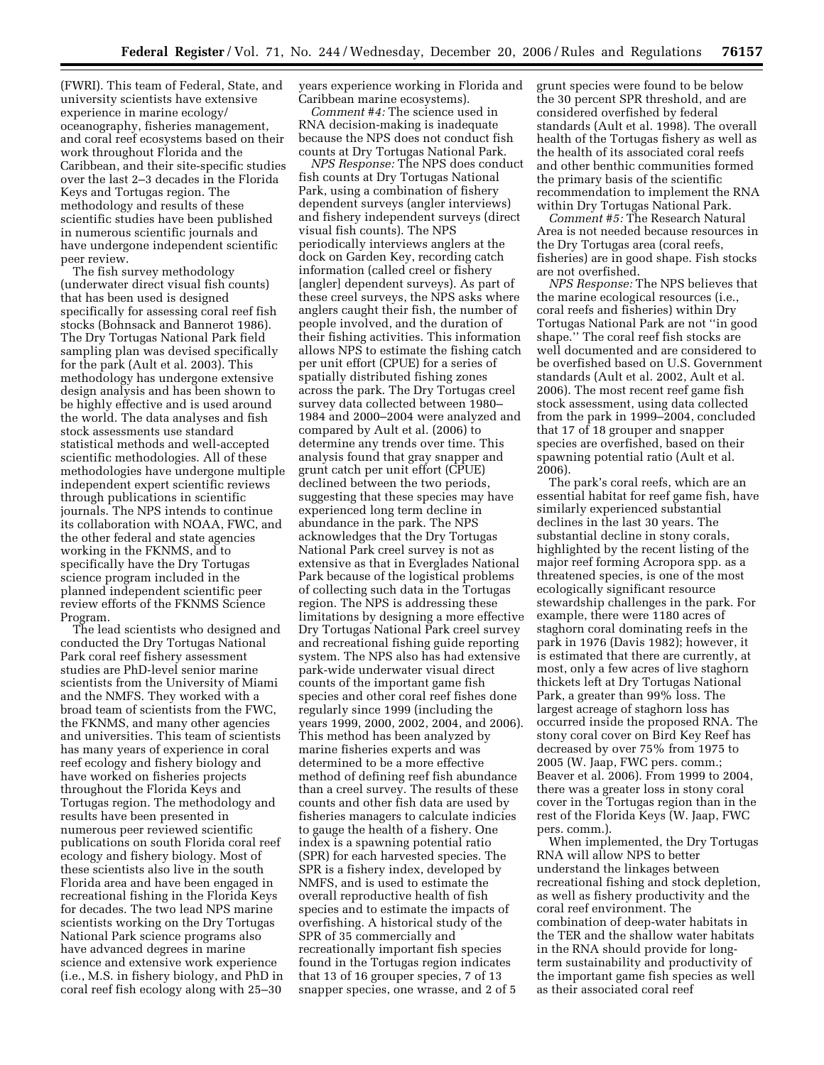(FWRI). This team of Federal, State, and university scientists have extensive experience in marine ecology/ oceanography, fisheries management, and coral reef ecosystems based on their work throughout Florida and the Caribbean, and their site-specific studies over the last 2–3 decades in the Florida Keys and Tortugas region. The methodology and results of these scientific studies have been published in numerous scientific journals and have undergone independent scientific peer review.

The fish survey methodology (underwater direct visual fish counts) that has been used is designed specifically for assessing coral reef fish stocks (Bohnsack and Bannerot 1986). The Dry Tortugas National Park field sampling plan was devised specifically for the park (Ault et al. 2003). This methodology has undergone extensive design analysis and has been shown to be highly effective and is used around the world. The data analyses and fish stock assessments use standard statistical methods and well-accepted scientific methodologies. All of these methodologies have undergone multiple independent expert scientific reviews through publications in scientific journals. The NPS intends to continue its collaboration with NOAA, FWC, and the other federal and state agencies working in the FKNMS, and to specifically have the Dry Tortugas science program included in the planned independent scientific peer review efforts of the FKNMS Science Program.

The lead scientists who designed and conducted the Dry Tortugas National Park coral reef fishery assessment studies are PhD-level senior marine scientists from the University of Miami and the NMFS. They worked with a broad team of scientists from the FWC, the FKNMS, and many other agencies and universities. This team of scientists has many years of experience in coral reef ecology and fishery biology and have worked on fisheries projects throughout the Florida Keys and Tortugas region. The methodology and results have been presented in numerous peer reviewed scientific publications on south Florida coral reef ecology and fishery biology. Most of these scientists also live in the south Florida area and have been engaged in recreational fishing in the Florida Keys for decades. The two lead NPS marine scientists working on the Dry Tortugas National Park science programs also have advanced degrees in marine science and extensive work experience (i.e., M.S. in fishery biology, and PhD in coral reef fish ecology along with 25–30

years experience working in Florida and Caribbean marine ecosystems).

*Comment #4:* The science used in RNA decision-making is inadequate because the NPS does not conduct fish counts at Dry Tortugas National Park.

*NPS Response:* The NPS does conduct fish counts at Dry Tortugas National Park, using a combination of fishery dependent surveys (angler interviews) and fishery independent surveys (direct visual fish counts). The NPS periodically interviews anglers at the dock on Garden Key, recording catch information (called creel or fishery [angler] dependent surveys). As part of these creel surveys, the NPS asks where anglers caught their fish, the number of people involved, and the duration of their fishing activities. This information allows NPS to estimate the fishing catch per unit effort (CPUE) for a series of spatially distributed fishing zones across the park. The Dry Tortugas creel survey data collected between 1980– 1984 and 2000–2004 were analyzed and compared by Ault et al. (2006) to determine any trends over time. This analysis found that gray snapper and grunt catch per unit effort (CPUE) declined between the two periods, suggesting that these species may have experienced long term decline in abundance in the park. The NPS acknowledges that the Dry Tortugas National Park creel survey is not as extensive as that in Everglades National Park because of the logistical problems of collecting such data in the Tortugas region. The NPS is addressing these limitations by designing a more effective Dry Tortugas National Park creel survey and recreational fishing guide reporting system. The NPS also has had extensive park-wide underwater visual direct counts of the important game fish species and other coral reef fishes done regularly since 1999 (including the years 1999, 2000, 2002, 2004, and 2006). This method has been analyzed by marine fisheries experts and was determined to be a more effective method of defining reef fish abundance than a creel survey. The results of these counts and other fish data are used by fisheries managers to calculate indicies to gauge the health of a fishery. One index is a spawning potential ratio (SPR) for each harvested species. The SPR is a fishery index, developed by NMFS, and is used to estimate the overall reproductive health of fish species and to estimate the impacts of overfishing. A historical study of the SPR of 35 commercially and recreationally important fish species found in the Tortugas region indicates that 13 of 16 grouper species, 7 of 13 snapper species, one wrasse, and 2 of 5

grunt species were found to be below the 30 percent SPR threshold, and are considered overfished by federal standards (Ault et al. 1998). The overall health of the Tortugas fishery as well as the health of its associated coral reefs and other benthic communities formed the primary basis of the scientific recommendation to implement the RNA within Dry Tortugas National Park.

*Comment #5:* The Research Natural Area is not needed because resources in the Dry Tortugas area (coral reefs, fisheries) are in good shape. Fish stocks are not overfished.

*NPS Response:* The NPS believes that the marine ecological resources (i.e., coral reefs and fisheries) within Dry Tortugas National Park are not ''in good shape.'' The coral reef fish stocks are well documented and are considered to be overfished based on U.S. Government standards (Ault et al. 2002, Ault et al. 2006). The most recent reef game fish stock assessment, using data collected from the park in 1999–2004, concluded that 17 of 18 grouper and snapper species are overfished, based on their spawning potential ratio (Ault et al. 2006).

The park's coral reefs, which are an essential habitat for reef game fish, have similarly experienced substantial declines in the last 30 years. The substantial decline in stony corals, highlighted by the recent listing of the major reef forming Acropora spp. as a threatened species, is one of the most ecologically significant resource stewardship challenges in the park. For example, there were 1180 acres of staghorn coral dominating reefs in the park in 1976 (Davis 1982); however, it is estimated that there are currently, at most, only a few acres of live staghorn thickets left at Dry Tortugas National Park, a greater than 99% loss. The largest acreage of staghorn loss has occurred inside the proposed RNA. The stony coral cover on Bird Key Reef has decreased by over 75% from 1975 to 2005 (W. Jaap, FWC pers. comm.; Beaver et al. 2006). From 1999 to 2004, there was a greater loss in stony coral cover in the Tortugas region than in the rest of the Florida Keys (W. Jaap, FWC pers. comm.).

When implemented, the Dry Tortugas RNA will allow NPS to better understand the linkages between recreational fishing and stock depletion, as well as fishery productivity and the coral reef environment. The combination of deep-water habitats in the TER and the shallow water habitats in the RNA should provide for longterm sustainability and productivity of the important game fish species as well as their associated coral reef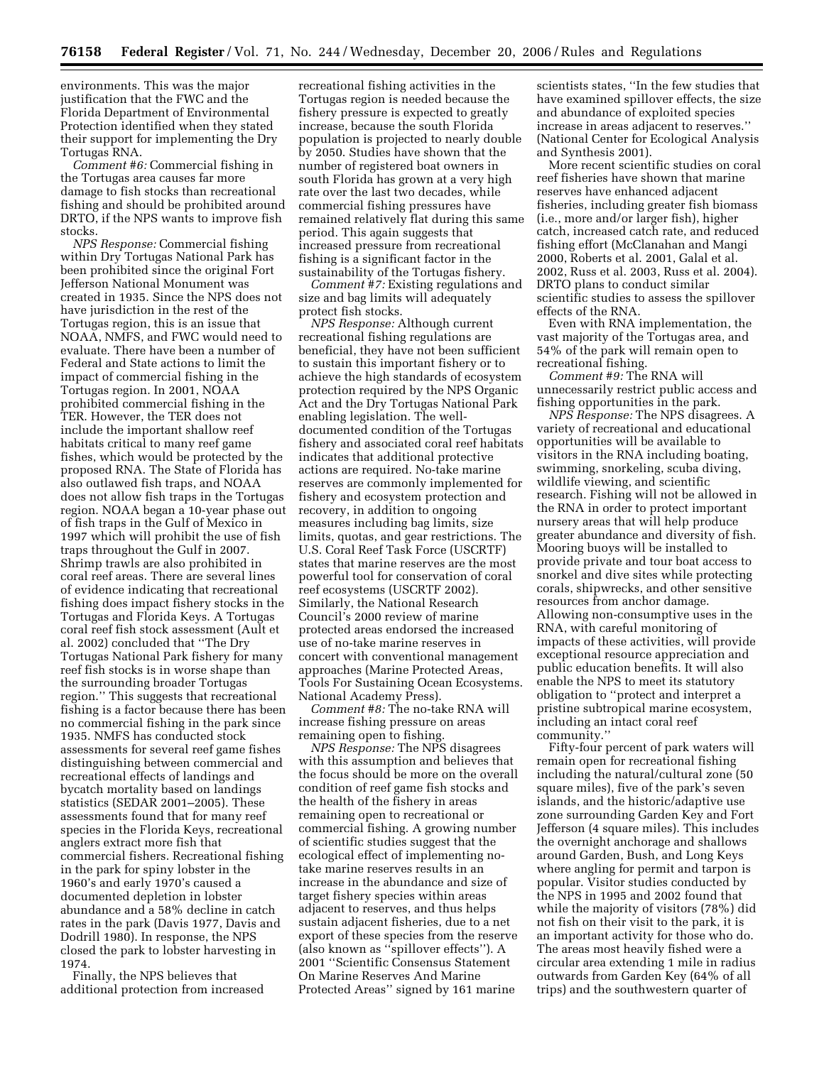environments. This was the major justification that the FWC and the Florida Department of Environmental Protection identified when they stated their support for implementing the Dry Tortugas RNA.

*Comment #6:* Commercial fishing in the Tortugas area causes far more damage to fish stocks than recreational fishing and should be prohibited around DRTO, if the NPS wants to improve fish stocks.

*NPS Response:* Commercial fishing within Dry Tortugas National Park has been prohibited since the original Fort Jefferson National Monument was created in 1935. Since the NPS does not have jurisdiction in the rest of the Tortugas region, this is an issue that NOAA, NMFS, and FWC would need to evaluate. There have been a number of Federal and State actions to limit the impact of commercial fishing in the Tortugas region. In 2001, NOAA prohibited commercial fishing in the TER. However, the TER does not include the important shallow reef habitats critical to many reef game fishes, which would be protected by the proposed RNA. The State of Florida has also outlawed fish traps, and NOAA does not allow fish traps in the Tortugas region. NOAA began a 10-year phase out of fish traps in the Gulf of Mexico in 1997 which will prohibit the use of fish traps throughout the Gulf in 2007. Shrimp trawls are also prohibited in coral reef areas. There are several lines of evidence indicating that recreational fishing does impact fishery stocks in the Tortugas and Florida Keys. A Tortugas coral reef fish stock assessment (Ault et al. 2002) concluded that ''The Dry Tortugas National Park fishery for many reef fish stocks is in worse shape than the surrounding broader Tortugas region.'' This suggests that recreational fishing is a factor because there has been no commercial fishing in the park since 1935. NMFS has conducted stock assessments for several reef game fishes distinguishing between commercial and recreational effects of landings and bycatch mortality based on landings statistics (SEDAR 2001–2005). These assessments found that for many reef species in the Florida Keys, recreational anglers extract more fish that commercial fishers. Recreational fishing in the park for spiny lobster in the 1960's and early 1970's caused a documented depletion in lobster abundance and a 58% decline in catch rates in the park (Davis 1977, Davis and Dodrill 1980). In response, the NPS closed the park to lobster harvesting in 1974.

Finally, the NPS believes that additional protection from increased recreational fishing activities in the Tortugas region is needed because the fishery pressure is expected to greatly increase, because the south Florida population is projected to nearly double by 2050. Studies have shown that the number of registered boat owners in south Florida has grown at a very high rate over the last two decades, while commercial fishing pressures have remained relatively flat during this same period. This again suggests that increased pressure from recreational fishing is a significant factor in the sustainability of the Tortugas fishery.

*Comment #7:* Existing regulations and size and bag limits will adequately protect fish stocks.

*NPS Response:* Although current recreational fishing regulations are beneficial, they have not been sufficient to sustain this important fishery or to achieve the high standards of ecosystem protection required by the NPS Organic Act and the Dry Tortugas National Park enabling legislation. The welldocumented condition of the Tortugas fishery and associated coral reef habitats indicates that additional protective actions are required. No-take marine reserves are commonly implemented for fishery and ecosystem protection and recovery, in addition to ongoing measures including bag limits, size limits, quotas, and gear restrictions. The U.S. Coral Reef Task Force (USCRTF) states that marine reserves are the most powerful tool for conservation of coral reef ecosystems (USCRTF 2002). Similarly, the National Research Council's 2000 review of marine protected areas endorsed the increased use of no-take marine reserves in concert with conventional management approaches (Marine Protected Areas, Tools For Sustaining Ocean Ecosystems. National Academy Press).

*Comment #8:* The no-take RNA will increase fishing pressure on areas remaining open to fishing.

*NPS Response:* The NPS disagrees with this assumption and believes that the focus should be more on the overall condition of reef game fish stocks and the health of the fishery in areas remaining open to recreational or commercial fishing. A growing number of scientific studies suggest that the ecological effect of implementing notake marine reserves results in an increase in the abundance and size of target fishery species within areas adjacent to reserves, and thus helps sustain adjacent fisheries, due to a net export of these species from the reserve (also known as ''spillover effects''). A 2001 ''Scientific Consensus Statement On Marine Reserves And Marine Protected Areas'' signed by 161 marine

scientists states, ''In the few studies that have examined spillover effects, the size and abundance of exploited species increase in areas adjacent to reserves.'' (National Center for Ecological Analysis and Synthesis 2001).

More recent scientific studies on coral reef fisheries have shown that marine reserves have enhanced adjacent fisheries, including greater fish biomass (i.e., more and/or larger fish), higher catch, increased catch rate, and reduced fishing effort (McClanahan and Mangi 2000, Roberts et al. 2001, Galal et al. 2002, Russ et al. 2003, Russ et al. 2004). DRTO plans to conduct similar scientific studies to assess the spillover effects of the RNA.

Even with RNA implementation, the vast majority of the Tortugas area, and 54% of the park will remain open to recreational fishing.

*Comment #9:* The RNA will unnecessarily restrict public access and fishing opportunities in the park.

*NPS Response:* The NPS disagrees. A variety of recreational and educational opportunities will be available to visitors in the RNA including boating, swimming, snorkeling, scuba diving, wildlife viewing, and scientific research. Fishing will not be allowed in the RNA in order to protect important nursery areas that will help produce greater abundance and diversity of fish. Mooring buoys will be installed to provide private and tour boat access to snorkel and dive sites while protecting corals, shipwrecks, and other sensitive resources from anchor damage. Allowing non-consumptive uses in the RNA, with careful monitoring of impacts of these activities, will provide exceptional resource appreciation and public education benefits. It will also enable the NPS to meet its statutory obligation to ''protect and interpret a pristine subtropical marine ecosystem, including an intact coral reef community.''

Fifty-four percent of park waters will remain open for recreational fishing including the natural/cultural zone (50 square miles), five of the park's seven islands, and the historic/adaptive use zone surrounding Garden Key and Fort Jefferson (4 square miles). This includes the overnight anchorage and shallows around Garden, Bush, and Long Keys where angling for permit and tarpon is popular. Visitor studies conducted by the NPS in 1995 and 2002 found that while the majority of visitors (78%) did not fish on their visit to the park, it is an important activity for those who do. The areas most heavily fished were a circular area extending 1 mile in radius outwards from Garden Key (64% of all trips) and the southwestern quarter of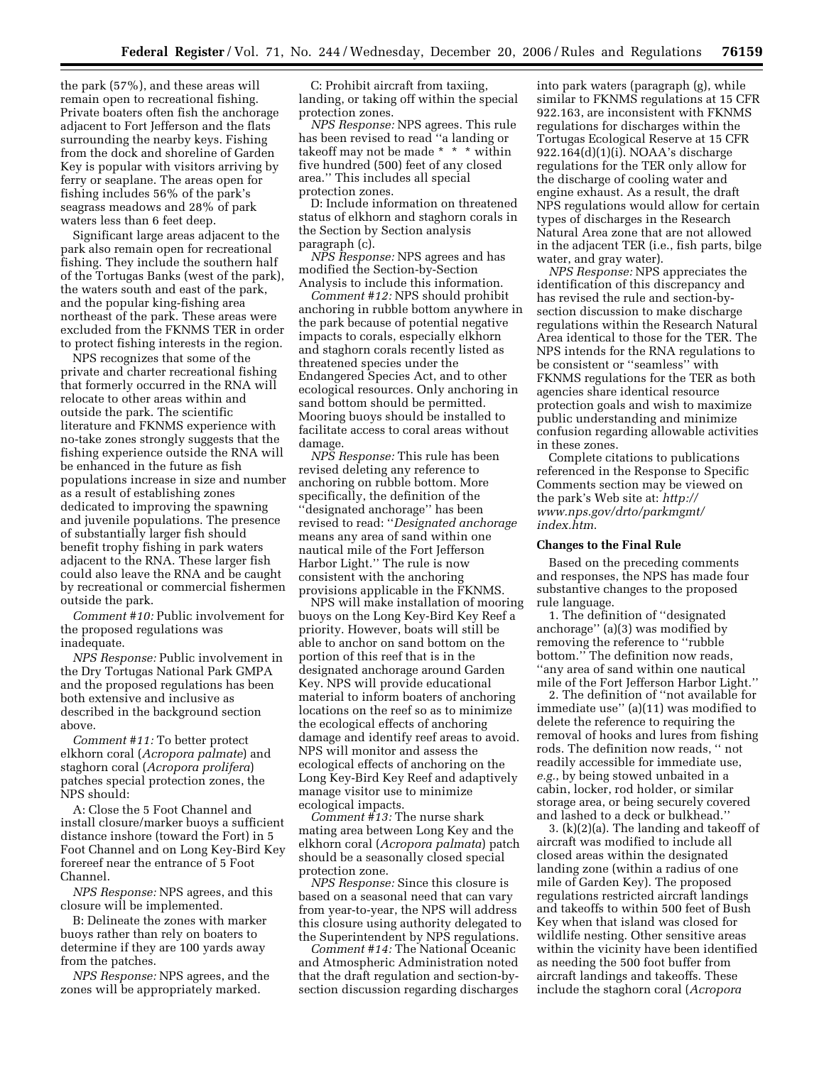the park (57%), and these areas will remain open to recreational fishing. Private boaters often fish the anchorage adjacent to Fort Jefferson and the flats surrounding the nearby keys. Fishing from the dock and shoreline of Garden Key is popular with visitors arriving by ferry or seaplane. The areas open for fishing includes 56% of the park's seagrass meadows and 28% of park waters less than 6 feet deep.

Significant large areas adjacent to the park also remain open for recreational fishing. They include the southern half of the Tortugas Banks (west of the park), the waters south and east of the park, and the popular king-fishing area northeast of the park. These areas were excluded from the FKNMS TER in order to protect fishing interests in the region.

NPS recognizes that some of the private and charter recreational fishing that formerly occurred in the RNA will relocate to other areas within and outside the park. The scientific literature and FKNMS experience with no-take zones strongly suggests that the fishing experience outside the RNA will be enhanced in the future as fish populations increase in size and number as a result of establishing zones dedicated to improving the spawning and juvenile populations. The presence of substantially larger fish should benefit trophy fishing in park waters adjacent to the RNA. These larger fish could also leave the RNA and be caught by recreational or commercial fishermen outside the park.

*Comment #10:* Public involvement for the proposed regulations was inadequate.

*NPS Response:* Public involvement in the Dry Tortugas National Park GMPA and the proposed regulations has been both extensive and inclusive as described in the background section above.

*Comment #11:* To better protect elkhorn coral (*Acropora palmate*) and staghorn coral (*Acropora prolifera*) patches special protection zones, the NPS should:

A: Close the 5 Foot Channel and install closure/marker buoys a sufficient distance inshore (toward the Fort) in 5 Foot Channel and on Long Key-Bird Key forereef near the entrance of 5 Foot Channel.

*NPS Response:* NPS agrees, and this closure will be implemented.

B: Delineate the zones with marker buoys rather than rely on boaters to determine if they are 100 yards away from the patches.

*NPS Response:* NPS agrees, and the zones will be appropriately marked.

C: Prohibit aircraft from taxiing, landing, or taking off within the special protection zones.

*NPS Response:* NPS agrees. This rule has been revised to read "a landing or takeoff may not be made \* \* \* within five hundred (500) feet of any closed area.'' This includes all special protection zones.

D: Include information on threatened status of elkhorn and staghorn corals in the Section by Section analysis paragraph (c).

*NPS Response:* NPS agrees and has modified the Section-by-Section Analysis to include this information.

*Comment #12:* NPS should prohibit anchoring in rubble bottom anywhere in the park because of potential negative impacts to corals, especially elkhorn and staghorn corals recently listed as threatened species under the Endangered Species Act, and to other ecological resources. Only anchoring in sand bottom should be permitted. Mooring buoys should be installed to facilitate access to coral areas without damage.

*NPS Response:* This rule has been revised deleting any reference to anchoring on rubble bottom. More specifically, the definition of the ''designated anchorage'' has been revised to read: ''*Designated anchorage*  means any area of sand within one nautical mile of the Fort Jefferson Harbor Light.'' The rule is now consistent with the anchoring provisions applicable in the FKNMS.

NPS will make installation of mooring buoys on the Long Key-Bird Key Reef a priority. However, boats will still be able to anchor on sand bottom on the portion of this reef that is in the designated anchorage around Garden Key. NPS will provide educational material to inform boaters of anchoring locations on the reef so as to minimize the ecological effects of anchoring damage and identify reef areas to avoid. NPS will monitor and assess the ecological effects of anchoring on the Long Key-Bird Key Reef and adaptively manage visitor use to minimize ecological impacts.

*Comment #13:* The nurse shark mating area between Long Key and the elkhorn coral (*Acropora palmata*) patch should be a seasonally closed special protection zone.

*NPS Response:* Since this closure is based on a seasonal need that can vary from year-to-year, the NPS will address this closure using authority delegated to the Superintendent by NPS regulations.

*Comment #14:* The National Oceanic and Atmospheric Administration noted that the draft regulation and section-bysection discussion regarding discharges

into park waters (paragraph (g), while similar to FKNMS regulations at 15 CFR 922.163, are inconsistent with FKNMS regulations for discharges within the Tortugas Ecological Reserve at 15 CFR 922.164(d)(1)(i). NOAA's discharge regulations for the TER only allow for the discharge of cooling water and engine exhaust. As a result, the draft NPS regulations would allow for certain types of discharges in the Research Natural Area zone that are not allowed in the adjacent TER (i.e., fish parts, bilge water, and gray water).

*NPS Response:* NPS appreciates the identification of this discrepancy and has revised the rule and section-bysection discussion to make discharge regulations within the Research Natural Area identical to those for the TER. The NPS intends for the RNA regulations to be consistent or ''seamless'' with FKNMS regulations for the TER as both agencies share identical resource protection goals and wish to maximize public understanding and minimize confusion regarding allowable activities in these zones.

Complete citations to publications referenced in the Response to Specific Comments section may be viewed on the park's Web site at: *http:// [www.nps.gov/drto/parkmgmt/](http://www.nps.gov/drto/parkmgmt/index.htm)  index.htm*.

#### **Changes to the Final Rule**

Based on the preceding comments and responses, the NPS has made four substantive changes to the proposed rule language.

1. The definition of ''designated anchorage'' (a)(3) was modified by removing the reference to ''rubble bottom.'' The definition now reads, ''any area of sand within one nautical mile of the Fort Jefferson Harbor Light.''

2. The definition of ''not available for immediate use'' (a)(11) was modified to delete the reference to requiring the removal of hooks and lures from fishing rods. The definition now reads, '' not readily accessible for immediate use, *e.g.*, by being stowed unbaited in a cabin, locker, rod holder, or similar storage area, or being securely covered and lashed to a deck or bulkhead.''

3. (k)(2)(a). The landing and takeoff of aircraft was modified to include all closed areas within the designated landing zone (within a radius of one mile of Garden Key). The proposed regulations restricted aircraft landings and takeoffs to within 500 feet of Bush Key when that island was closed for wildlife nesting. Other sensitive areas within the vicinity have been identified as needing the 500 foot buffer from aircraft landings and takeoffs. These include the staghorn coral (*Acropora*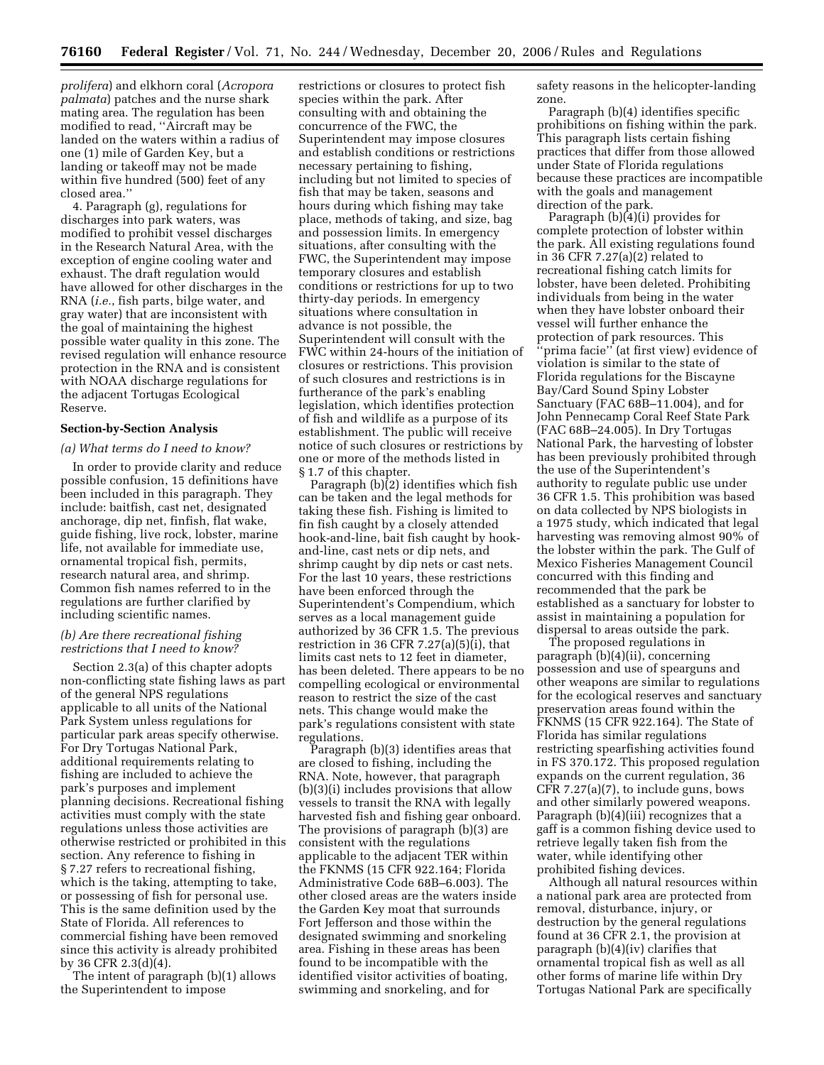*prolifera*) and elkhorn coral (*Acropora palmata*) patches and the nurse shark mating area. The regulation has been modified to read, ''Aircraft may be landed on the waters within a radius of one (1) mile of Garden Key, but a landing or takeoff may not be made within five hundred (500) feet of any closed area.''

4. Paragraph (g), regulations for discharges into park waters, was modified to prohibit vessel discharges in the Research Natural Area, with the exception of engine cooling water and exhaust. The draft regulation would have allowed for other discharges in the RNA (*i.e.*, fish parts, bilge water, and gray water) that are inconsistent with the goal of maintaining the highest possible water quality in this zone. The revised regulation will enhance resource protection in the RNA and is consistent with NOAA discharge regulations for the adjacent Tortugas Ecological Reserve.

## **Section-by-Section Analysis**

### *(a) What terms do I need to know?*

In order to provide clarity and reduce possible confusion, 15 definitions have been included in this paragraph. They include: baitfish, cast net, designated anchorage, dip net, finfish, flat wake, guide fishing, live rock, lobster, marine life, not available for immediate use, ornamental tropical fish, permits, research natural area, and shrimp. Common fish names referred to in the regulations are further clarified by including scientific names.

## *(b) Are there recreational fishing restrictions that I need to know?*

Section 2.3(a) of this chapter adopts non-conflicting state fishing laws as part of the general NPS regulations applicable to all units of the National Park System unless regulations for particular park areas specify otherwise. For Dry Tortugas National Park, additional requirements relating to fishing are included to achieve the park's purposes and implement planning decisions. Recreational fishing activities must comply with the state regulations unless those activities are otherwise restricted or prohibited in this section. Any reference to fishing in § 7.27 refers to recreational fishing, which is the taking, attempting to take, or possessing of fish for personal use. This is the same definition used by the State of Florida. All references to commercial fishing have been removed since this activity is already prohibited by 36 CFR 2.3(d)(4).

The intent of paragraph (b)(1) allows the Superintendent to impose

restrictions or closures to protect fish species within the park. After consulting with and obtaining the concurrence of the FWC, the Superintendent may impose closures and establish conditions or restrictions necessary pertaining to fishing, including but not limited to species of fish that may be taken, seasons and hours during which fishing may take place, methods of taking, and size, bag and possession limits. In emergency situations, after consulting with the FWC, the Superintendent may impose temporary closures and establish conditions or restrictions for up to two thirty-day periods. In emergency situations where consultation in advance is not possible, the Superintendent will consult with the FWC within 24-hours of the initiation of closures or restrictions. This provision of such closures and restrictions is in furtherance of the park's enabling legislation, which identifies protection of fish and wildlife as a purpose of its establishment. The public will receive notice of such closures or restrictions by one or more of the methods listed in § 1.7 of this chapter.

Paragraph (b)(2) identifies which fish can be taken and the legal methods for taking these fish. Fishing is limited to fin fish caught by a closely attended hook-and-line, bait fish caught by hookand-line, cast nets or dip nets, and shrimp caught by dip nets or cast nets. For the last 10 years, these restrictions have been enforced through the Superintendent's Compendium, which serves as a local management guide authorized by 36 CFR 1.5. The previous restriction in 36 CFR 7.27(a)(5)(i), that limits cast nets to 12 feet in diameter, has been deleted. There appears to be no compelling ecological or environmental reason to restrict the size of the cast nets. This change would make the park's regulations consistent with state regulations.

Paragraph (b)(3) identifies areas that are closed to fishing, including the RNA. Note, however, that paragraph (b)(3)(i) includes provisions that allow vessels to transit the RNA with legally harvested fish and fishing gear onboard. The provisions of paragraph (b)(3) are consistent with the regulations applicable to the adjacent TER within the FKNMS (15 CFR 922.164; Florida Administrative Code 68B–6.003). The other closed areas are the waters inside the Garden Key moat that surrounds Fort Jefferson and those within the designated swimming and snorkeling area. Fishing in these areas has been found to be incompatible with the identified visitor activities of boating, swimming and snorkeling, and for

safety reasons in the helicopter-landing zone.

Paragraph (b)(4) identifies specific prohibitions on fishing within the park. This paragraph lists certain fishing practices that differ from those allowed under State of Florida regulations because these practices are incompatible with the goals and management direction of the park.

Paragraph  $(b)(4)(i)$  provides for complete protection of lobster within the park. All existing regulations found in 36 CFR 7.27(a)(2) related to recreational fishing catch limits for lobster, have been deleted. Prohibiting individuals from being in the water when they have lobster onboard their vessel will further enhance the protection of park resources. This ''prima facie'' (at first view) evidence of violation is similar to the state of Florida regulations for the Biscayne Bay/Card Sound Spiny Lobster Sanctuary (FAC 68B–11.004), and for John Pennecamp Coral Reef State Park (FAC 68B–24.005). In Dry Tortugas National Park, the harvesting of lobster has been previously prohibited through the use of the Superintendent's authority to regulate public use under 36 CFR 1.5. This prohibition was based on data collected by NPS biologists in a 1975 study, which indicated that legal harvesting was removing almost 90% of the lobster within the park. The Gulf of Mexico Fisheries Management Council concurred with this finding and recommended that the park be established as a sanctuary for lobster to assist in maintaining a population for dispersal to areas outside the park.

The proposed regulations in paragraph (b)(4)(ii), concerning possession and use of spearguns and other weapons are similar to regulations for the ecological reserves and sanctuary preservation areas found within the FKNMS (15 CFR 922.164). The State of Florida has similar regulations restricting spearfishing activities found in FS 370.172. This proposed regulation expands on the current regulation, 36 CFR 7.27(a)(7), to include guns, bows and other similarly powered weapons. Paragraph (b)(4)(iii) recognizes that a gaff is a common fishing device used to retrieve legally taken fish from the water, while identifying other prohibited fishing devices.

Although all natural resources within a national park area are protected from removal, disturbance, injury, or destruction by the general regulations found at 36 CFR 2.1, the provision at paragraph (b)(4)(iv) clarifies that ornamental tropical fish as well as all other forms of marine life within Dry Tortugas National Park are specifically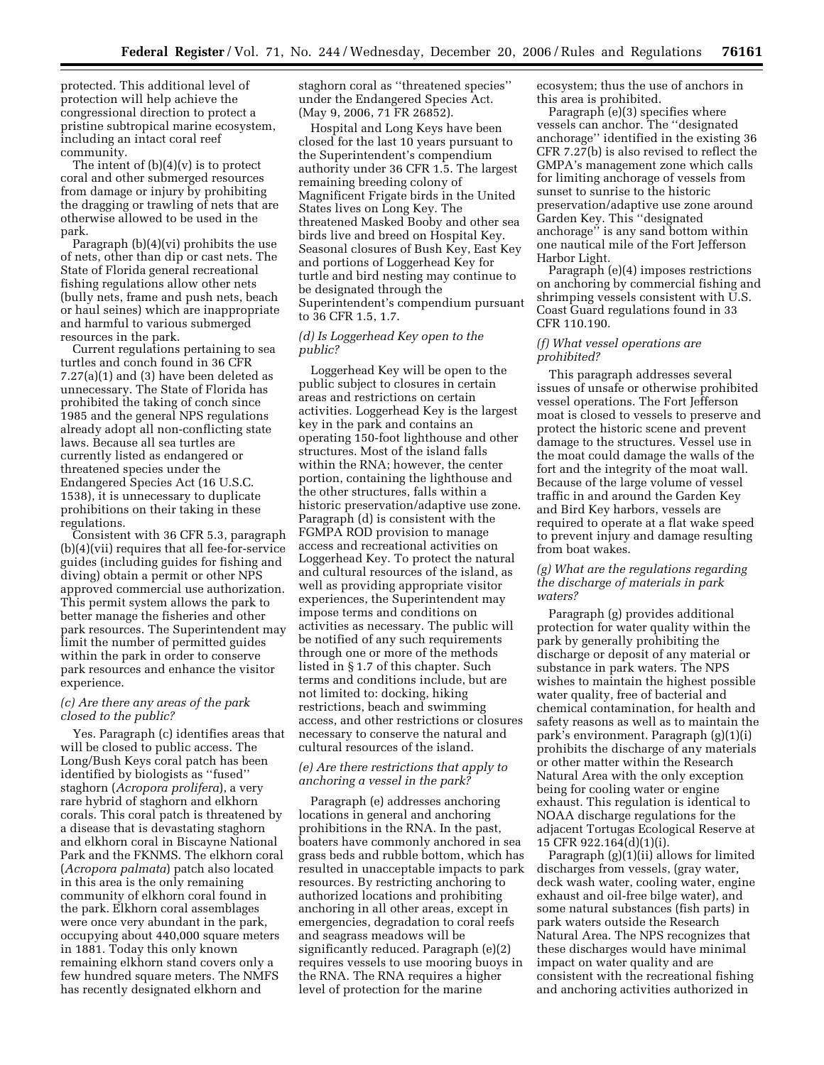protected. This additional level of protection will help achieve the congressional direction to protect a pristine subtropical marine ecosystem, including an intact coral reef community.

The intent of (b)(4)(v) is to protect coral and other submerged resources from damage or injury by prohibiting the dragging or trawling of nets that are otherwise allowed to be used in the park.

Paragraph (b)(4)(vi) prohibits the use of nets, other than dip or cast nets. The State of Florida general recreational fishing regulations allow other nets (bully nets, frame and push nets, beach or haul seines) which are inappropriate and harmful to various submerged resources in the park.

Current regulations pertaining to sea turtles and conch found in 36 CFR 7.27(a)(1) and (3) have been deleted as unnecessary. The State of Florida has prohibited the taking of conch since 1985 and the general NPS regulations already adopt all non-conflicting state laws. Because all sea turtles are currently listed as endangered or threatened species under the Endangered Species Act (16 U.S.C. 1538), it is unnecessary to duplicate prohibitions on their taking in these regulations.

Consistent with 36 CFR 5.3, paragraph (b)(4)(vii) requires that all fee-for-service guides (including guides for fishing and diving) obtain a permit or other NPS approved commercial use authorization. This permit system allows the park to better manage the fisheries and other park resources. The Superintendent may limit the number of permitted guides within the park in order to conserve park resources and enhance the visitor experience.

### *(c) Are there any areas of the park closed to the public?*

Yes. Paragraph (c) identifies areas that will be closed to public access. The Long/Bush Keys coral patch has been identified by biologists as ''fused'' staghorn (*Acropora prolifera*), a very rare hybrid of staghorn and elkhorn corals. This coral patch is threatened by a disease that is devastating staghorn and elkhorn coral in Biscayne National Park and the FKNMS. The elkhorn coral (*Acropora palmata*) patch also located in this area is the only remaining community of elkhorn coral found in the park. Elkhorn coral assemblages were once very abundant in the park, occupying about 440,000 square meters in 1881. Today this only known remaining elkhorn stand covers only a few hundred square meters. The NMFS has recently designated elkhorn and

staghorn coral as ''threatened species'' under the Endangered Species Act. (May 9, 2006, 71 FR 26852).

Hospital and Long Keys have been closed for the last 10 years pursuant to the Superintendent's compendium authority under 36 CFR 1.5. The largest remaining breeding colony of Magnificent Frigate birds in the United States lives on Long Key. The threatened Masked Booby and other sea birds live and breed on Hospital Key. Seasonal closures of Bush Key, East Key and portions of Loggerhead Key for turtle and bird nesting may continue to be designated through the Superintendent's compendium pursuant to 36 CFR 1.5, 1.7.

## *(d) Is Loggerhead Key open to the public?*

Loggerhead Key will be open to the public subject to closures in certain areas and restrictions on certain activities. Loggerhead Key is the largest key in the park and contains an operating 150-foot lighthouse and other structures. Most of the island falls within the RNA; however, the center portion, containing the lighthouse and the other structures, falls within a historic preservation/adaptive use zone. Paragraph (d) is consistent with the FGMPA ROD provision to manage access and recreational activities on Loggerhead Key. To protect the natural and cultural resources of the island, as well as providing appropriate visitor experiences, the Superintendent may impose terms and conditions on activities as necessary. The public will be notified of any such requirements through one or more of the methods listed in § 1.7 of this chapter. Such terms and conditions include, but are not limited to: docking, hiking restrictions, beach and swimming access, and other restrictions or closures necessary to conserve the natural and cultural resources of the island.

## *(e) Are there restrictions that apply to anchoring a vessel in the park?*

Paragraph (e) addresses anchoring locations in general and anchoring prohibitions in the RNA. In the past, boaters have commonly anchored in sea grass beds and rubble bottom, which has resulted in unacceptable impacts to park resources. By restricting anchoring to authorized locations and prohibiting anchoring in all other areas, except in emergencies, degradation to coral reefs and seagrass meadows will be significantly reduced. Paragraph (e)(2) requires vessels to use mooring buoys in the RNA. The RNA requires a higher level of protection for the marine

ecosystem; thus the use of anchors in this area is prohibited.

Paragraph (e)(3) specifies where vessels can anchor. The ''designated anchorage'' identified in the existing 36 CFR 7.27(b) is also revised to reflect the GMPA's management zone which calls for limiting anchorage of vessels from sunset to sunrise to the historic preservation/adaptive use zone around Garden Key. This ''designated anchorage" is any sand bottom within one nautical mile of the Fort Jefferson Harbor Light.

Paragraph (e)(4) imposes restrictions on anchoring by commercial fishing and shrimping vessels consistent with U.S. Coast Guard regulations found in 33 CFR 110.190.

### *(f) What vessel operations are prohibited?*

This paragraph addresses several issues of unsafe or otherwise prohibited vessel operations. The Fort Jefferson moat is closed to vessels to preserve and protect the historic scene and prevent damage to the structures. Vessel use in the moat could damage the walls of the fort and the integrity of the moat wall. Because of the large volume of vessel traffic in and around the Garden Key and Bird Key harbors, vessels are required to operate at a flat wake speed to prevent injury and damage resulting from boat wakes.

## *(g) What are the regulations regarding the discharge of materials in park waters?*

Paragraph (g) provides additional protection for water quality within the park by generally prohibiting the discharge or deposit of any material or substance in park waters. The NPS wishes to maintain the highest possible water quality, free of bacterial and chemical contamination, for health and safety reasons as well as to maintain the park's environment. Paragraph (g)(1)(i) prohibits the discharge of any materials or other matter within the Research Natural Area with the only exception being for cooling water or engine exhaust. This regulation is identical to NOAA discharge regulations for the adjacent Tortugas Ecological Reserve at 15 CFR 922.164(d)(1)(i).

Paragraph (g)(1)(ii) allows for limited discharges from vessels, (gray water, deck wash water, cooling water, engine exhaust and oil-free bilge water), and some natural substances (fish parts) in park waters outside the Research Natural Area. The NPS recognizes that these discharges would have minimal impact on water quality and are consistent with the recreational fishing and anchoring activities authorized in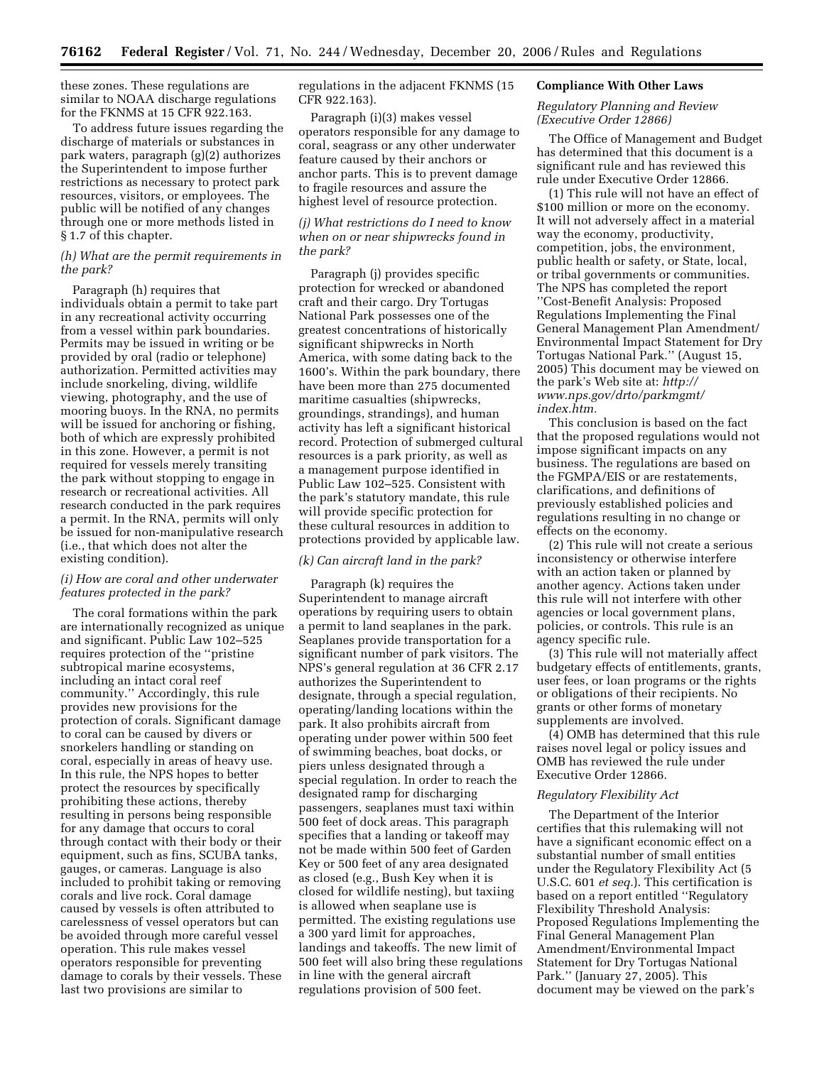these zones. These regulations are similar to NOAA discharge regulations for the FKNMS at 15 CFR 922.163.

To address future issues regarding the discharge of materials or substances in park waters, paragraph (g)(2) authorizes the Superintendent to impose further restrictions as necessary to protect park resources, visitors, or employees. The public will be notified of any changes through one or more methods listed in § 1.7 of this chapter.

## *(h) What are the permit requirements in the park?*

Paragraph (h) requires that individuals obtain a permit to take part in any recreational activity occurring from a vessel within park boundaries. Permits may be issued in writing or be provided by oral (radio or telephone) authorization. Permitted activities may include snorkeling, diving, wildlife viewing, photography, and the use of mooring buoys. In the RNA, no permits will be issued for anchoring or fishing, both of which are expressly prohibited in this zone. However, a permit is not required for vessels merely transiting the park without stopping to engage in research or recreational activities. All research conducted in the park requires a permit. In the RNA, permits will only be issued for non-manipulative research (i.e., that which does not alter the existing condition).

# *(i) How are coral and other underwater features protected in the park?*

The coral formations within the park are internationally recognized as unique and significant. Public Law 102–525 requires protection of the ''pristine subtropical marine ecosystems, including an intact coral reef community.'' Accordingly, this rule provides new provisions for the protection of corals. Significant damage to coral can be caused by divers or snorkelers handling or standing on coral, especially in areas of heavy use. In this rule, the NPS hopes to better protect the resources by specifically prohibiting these actions, thereby resulting in persons being responsible for any damage that occurs to coral through contact with their body or their equipment, such as fins, SCUBA tanks, gauges, or cameras. Language is also included to prohibit taking or removing corals and live rock. Coral damage caused by vessels is often attributed to carelessness of vessel operators but can be avoided through more careful vessel operation. This rule makes vessel operators responsible for preventing damage to corals by their vessels. These last two provisions are similar to

regulations in the adjacent FKNMS (15 CFR 922.163).

Paragraph (i)(3) makes vessel operators responsible for any damage to coral, seagrass or any other underwater feature caused by their anchors or anchor parts. This is to prevent damage to fragile resources and assure the highest level of resource protection.

# *(j) What restrictions do I need to know when on or near shipwrecks found in the park?*

Paragraph (j) provides specific protection for wrecked or abandoned craft and their cargo. Dry Tortugas National Park possesses one of the greatest concentrations of historically significant shipwrecks in North America, with some dating back to the 1600's. Within the park boundary, there have been more than 275 documented maritime casualties (shipwrecks, groundings, strandings), and human activity has left a significant historical record. Protection of submerged cultural resources is a park priority, as well as a management purpose identified in Public Law 102–525. Consistent with the park's statutory mandate, this rule will provide specific protection for these cultural resources in addition to protections provided by applicable law.

# *(k) Can aircraft land in the park?*

Paragraph (k) requires the Superintendent to manage aircraft operations by requiring users to obtain a permit to land seaplanes in the park. Seaplanes provide transportation for a significant number of park visitors. The NPS's general regulation at 36 CFR 2.17 authorizes the Superintendent to designate, through a special regulation, operating/landing locations within the park. It also prohibits aircraft from operating under power within 500 feet of swimming beaches, boat docks, or piers unless designated through a special regulation. In order to reach the designated ramp for discharging passengers, seaplanes must taxi within 500 feet of dock areas. This paragraph specifies that a landing or takeoff may not be made within 500 feet of Garden Key or 500 feet of any area designated as closed (e.g., Bush Key when it is closed for wildlife nesting), but taxiing is allowed when seaplane use is permitted. The existing regulations use a 300 yard limit for approaches, landings and takeoffs. The new limit of 500 feet will also bring these regulations in line with the general aircraft regulations provision of 500 feet.

### **Compliance With Other Laws**

### *Regulatory Planning and Review (Executive Order 12866)*

The Office of Management and Budget has determined that this document is a significant rule and has reviewed this rule under Executive Order 12866.

(1) This rule will not have an effect of \$100 million or more on the economy. It will not adversely affect in a material way the economy, productivity, competition, jobs, the environment, public health or safety, or State, local, or tribal governments or communities. The NPS has completed the report ''Cost-Benefit Analysis: Proposed Regulations Implementing the Final General Management Plan Amendment/ Environmental Impact Statement for Dry Tortugas National Park.'' (August 15, 2005) This document may be viewed on the park's Web site at: *http:// [www.nps.gov/drto/parkmgmt/](http://www.nps.gov/drto/parkmgmt/index.htm)  index.htm.* 

This conclusion is based on the fact that the proposed regulations would not impose significant impacts on any business. The regulations are based on the FGMPA/EIS or are restatements, clarifications, and definitions of previously established policies and regulations resulting in no change or effects on the economy.

(2) This rule will not create a serious inconsistency or otherwise interfere with an action taken or planned by another agency. Actions taken under this rule will not interfere with other agencies or local government plans, policies, or controls. This rule is an agency specific rule.

(3) This rule will not materially affect budgetary effects of entitlements, grants, user fees, or loan programs or the rights or obligations of their recipients. No grants or other forms of monetary supplements are involved.

(4) OMB has determined that this rule raises novel legal or policy issues and OMB has reviewed the rule under Executive Order 12866.

## *Regulatory Flexibility Act*

The Department of the Interior certifies that this rulemaking will not have a significant economic effect on a substantial number of small entities under the Regulatory Flexibility Act (5 U.S.C. 601 *et seq.*). This certification is based on a report entitled ''Regulatory Flexibility Threshold Analysis: Proposed Regulations Implementing the Final General Management Plan Amendment/Environmental Impact Statement for Dry Tortugas National Park.'' (January 27, 2005). This document may be viewed on the park's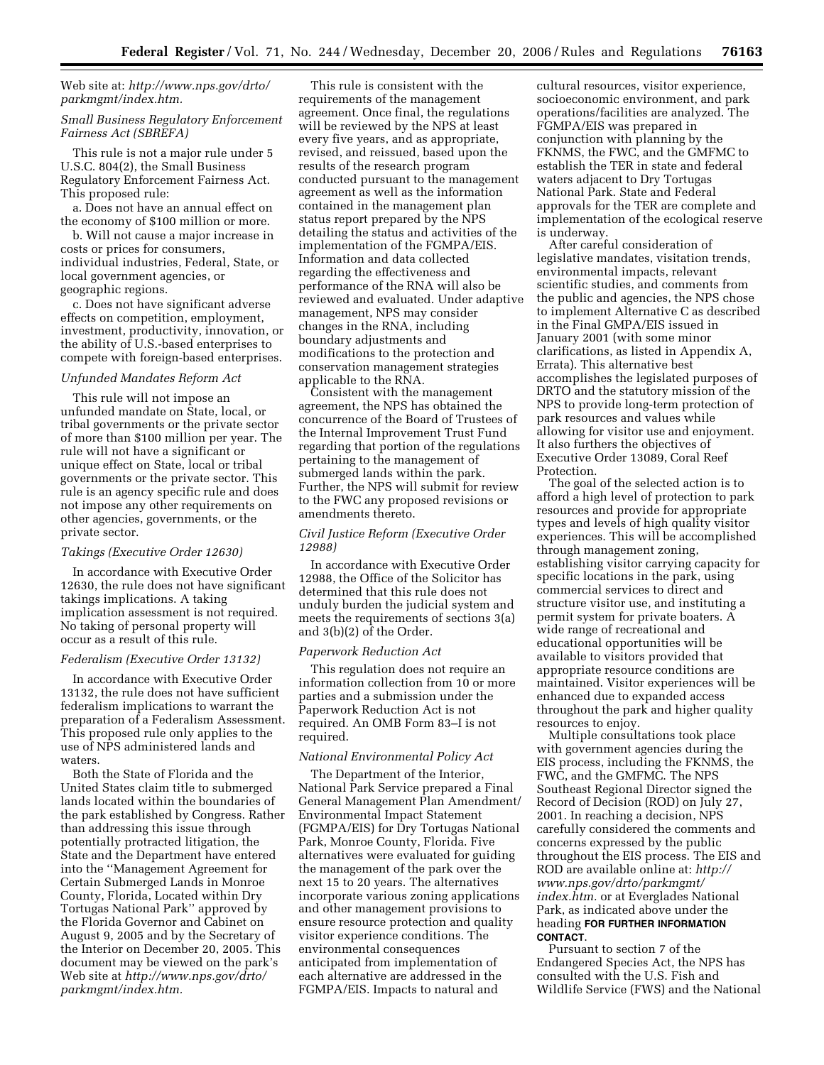# Web site at: *[http://www.nps.gov/drto/](http://www.nps.gov/drto/parkmgmt/index.htm)  parkmgmt/index.htm.*

## *Small Business Regulatory Enforcement Fairness Act (SBREFA)*

This rule is not a major rule under 5 U.S.C. 804(2), the Small Business Regulatory Enforcement Fairness Act. This proposed rule:

a. Does not have an annual effect on the economy of \$100 million or more.

b. Will not cause a major increase in costs or prices for consumers, individual industries, Federal, State, or local government agencies, or geographic regions.

c. Does not have significant adverse effects on competition, employment, investment, productivity, innovation, or the ability of U.S.-based enterprises to compete with foreign-based enterprises.

#### *Unfunded Mandates Reform Act*

This rule will not impose an unfunded mandate on State, local, or tribal governments or the private sector of more than \$100 million per year. The rule will not have a significant or unique effect on State, local or tribal governments or the private sector. This rule is an agency specific rule and does not impose any other requirements on other agencies, governments, or the private sector.

#### *Takings (Executive Order 12630)*

In accordance with Executive Order 12630, the rule does not have significant takings implications. A taking implication assessment is not required. No taking of personal property will occur as a result of this rule.

#### *Federalism (Executive Order 13132)*

In accordance with Executive Order 13132, the rule does not have sufficient federalism implications to warrant the preparation of a Federalism Assessment. This proposed rule only applies to the use of NPS administered lands and waters.

Both the State of Florida and the United States claim title to submerged lands located within the boundaries of the park established by Congress. Rather than addressing this issue through potentially protracted litigation, the State and the Department have entered into the ''Management Agreement for Certain Submerged Lands in Monroe County, Florida, Located within Dry Tortugas National Park'' approved by the Florida Governor and Cabinet on August 9, 2005 and by the Secretary of the Interior on December 20, 2005. This document may be viewed on the park's Web site at *[http://www.nps.gov/drto/](http://www.nps.gov/drto/parkmgmt/index.htm)  parkmgmt/index.htm.* 

This rule is consistent with the requirements of the management agreement. Once final, the regulations will be reviewed by the NPS at least every five years, and as appropriate, revised, and reissued, based upon the results of the research program conducted pursuant to the management agreement as well as the information contained in the management plan status report prepared by the NPS detailing the status and activities of the implementation of the FGMPA/EIS. Information and data collected regarding the effectiveness and performance of the RNA will also be reviewed and evaluated. Under adaptive management, NPS may consider changes in the RNA, including boundary adjustments and modifications to the protection and conservation management strategies applicable to the RNA.

Consistent with the management agreement, the NPS has obtained the concurrence of the Board of Trustees of the Internal Improvement Trust Fund regarding that portion of the regulations pertaining to the management of submerged lands within the park. Further, the NPS will submit for review to the FWC any proposed revisions or amendments thereto.

## *Civil Justice Reform (Executive Order 12988)*

In accordance with Executive Order 12988, the Office of the Solicitor has determined that this rule does not unduly burden the judicial system and meets the requirements of sections 3(a) and 3(b)(2) of the Order.

#### *Paperwork Reduction Act*

This regulation does not require an information collection from 10 or more parties and a submission under the Paperwork Reduction Act is not required. An OMB Form 83–I is not required.

## *National Environmental Policy Act*

The Department of the Interior, National Park Service prepared a Final General Management Plan Amendment/ Environmental Impact Statement (FGMPA/EIS) for Dry Tortugas National Park, Monroe County, Florida. Five alternatives were evaluated for guiding the management of the park over the next 15 to 20 years. The alternatives incorporate various zoning applications and other management provisions to ensure resource protection and quality visitor experience conditions. The environmental consequences anticipated from implementation of each alternative are addressed in the FGMPA/EIS. Impacts to natural and

cultural resources, visitor experience, socioeconomic environment, and park operations/facilities are analyzed. The FGMPA/EIS was prepared in conjunction with planning by the FKNMS, the FWC, and the GMFMC to establish the TER in state and federal waters adjacent to Dry Tortugas National Park. State and Federal approvals for the TER are complete and implementation of the ecological reserve is underway.

After careful consideration of legislative mandates, visitation trends, environmental impacts, relevant scientific studies, and comments from the public and agencies, the NPS chose to implement Alternative C as described in the Final GMPA/EIS issued in January 2001 (with some minor clarifications, as listed in Appendix A, Errata). This alternative best accomplishes the legislated purposes of DRTO and the statutory mission of the NPS to provide long-term protection of park resources and values while allowing for visitor use and enjoyment. It also furthers the objectives of Executive Order 13089, Coral Reef Protection.

The goal of the selected action is to afford a high level of protection to park resources and provide for appropriate types and levels of high quality visitor experiences. This will be accomplished through management zoning, establishing visitor carrying capacity for specific locations in the park, using commercial services to direct and structure visitor use, and instituting a permit system for private boaters. A wide range of recreational and educational opportunities will be available to visitors provided that appropriate resource conditions are maintained. Visitor experiences will be enhanced due to expanded access throughout the park and higher quality resources to enjoy.

Multiple consultations took place with government agencies during the EIS process, including the FKNMS, the FWC, and the GMFMC. The NPS Southeast Regional Director signed the Record of Decision (ROD) on July 27, 2001. In reaching a decision, NPS carefully considered the comments and concerns expressed by the public throughout the EIS process. The EIS and ROD are available online at: *http:// [www.nps.gov/drto/parkmgmt/](http://www.nps.gov/drto/parkmgmt/index.htm)  index.htm.* or at Everglades National Park, as indicated above under the heading **FOR FURTHER INFORMATION CONTACT**.

Pursuant to section 7 of the Endangered Species Act, the NPS has consulted with the U.S. Fish and Wildlife Service (FWS) and the National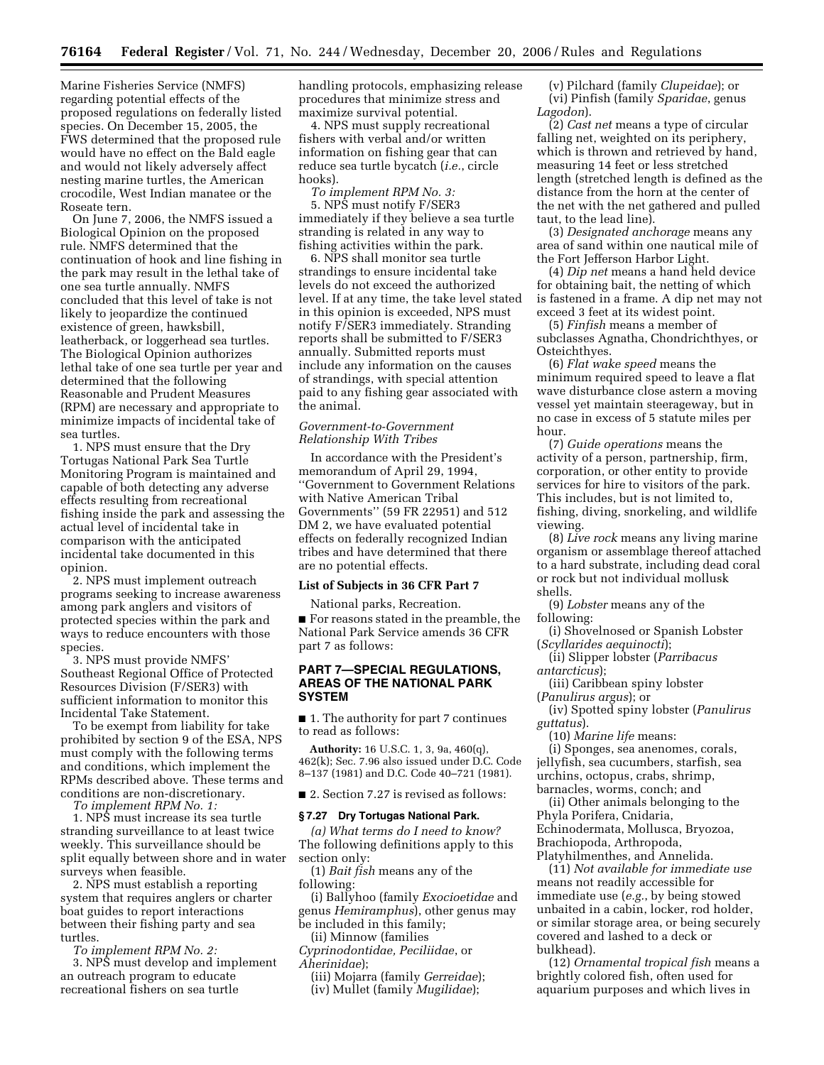Marine Fisheries Service (NMFS) regarding potential effects of the proposed regulations on federally listed species. On December 15, 2005, the FWS determined that the proposed rule would have no effect on the Bald eagle and would not likely adversely affect nesting marine turtles, the American crocodile, West Indian manatee or the Roseate tern.

On June 7, 2006, the NMFS issued a Biological Opinion on the proposed rule. NMFS determined that the continuation of hook and line fishing in the park may result in the lethal take of one sea turtle annually. NMFS concluded that this level of take is not likely to jeopardize the continued existence of green, hawksbill, leatherback, or loggerhead sea turtles. The Biological Opinion authorizes lethal take of one sea turtle per year and determined that the following Reasonable and Prudent Measures (RPM) are necessary and appropriate to minimize impacts of incidental take of sea turtles.

1. NPS must ensure that the Dry Tortugas National Park Sea Turtle Monitoring Program is maintained and capable of both detecting any adverse effects resulting from recreational fishing inside the park and assessing the actual level of incidental take in comparison with the anticipated incidental take documented in this opinion.

2. NPS must implement outreach programs seeking to increase awareness among park anglers and visitors of protected species within the park and ways to reduce encounters with those species.

3. NPS must provide NMFS' Southeast Regional Office of Protected Resources Division (F/SER3) with sufficient information to monitor this Incidental Take Statement.

To be exempt from liability for take prohibited by section 9 of the ESA, NPS must comply with the following terms and conditions, which implement the RPMs described above. These terms and conditions are non-discretionary.

*To implement RPM No. 1:* 

1. NPS must increase its sea turtle stranding surveillance to at least twice weekly. This surveillance should be split equally between shore and in water surveys when feasible.

2. NPS must establish a reporting system that requires anglers or charter boat guides to report interactions between their fishing party and sea turtles.

*To implement RPM No. 2:* 

3. NPS must develop and implement an outreach program to educate recreational fishers on sea turtle

handling protocols, emphasizing release procedures that minimize stress and maximize survival potential.

4. NPS must supply recreational fishers with verbal and/or written information on fishing gear that can reduce sea turtle bycatch (*i.e.*, circle hooks).

*To implement RPM No. 3:*  5. NPS must notify F/SER3 immediately if they believe a sea turtle stranding is related in any way to fishing activities within the park.

6. NPS shall monitor sea turtle strandings to ensure incidental take levels do not exceed the authorized level. If at any time, the take level stated in this opinion is exceeded, NPS must notify F/SER3 immediately. Stranding reports shall be submitted to F/SER3 annually. Submitted reports must include any information on the causes of strandings, with special attention paid to any fishing gear associated with the animal.

### *Government-to-Government Relationship With Tribes*

In accordance with the President's memorandum of April 29, 1994, ''Government to Government Relations with Native American Tribal Governments'' (59 FR 22951) and 512 DM 2, we have evaluated potential effects on federally recognized Indian tribes and have determined that there are no potential effects.

#### **List of Subjects in 36 CFR Part 7**

National parks, Recreation.

■ For reasons stated in the preamble, the National Park Service amends 36 CFR part 7 as follows:

## **PART 7—SPECIAL REGULATIONS, AREAS OF THE NATIONAL PARK SYSTEM**

■ 1. The authority for part 7 continues to read as follows:

**Authority:** 16 U.S.C. 1, 3, 9a, 460(q), 462(k); Sec. 7.96 also issued under D.C. Code 8–137 (1981) and D.C. Code 40–721 (1981).

■ 2. Section 7.27 is revised as follows:

#### **§ 7.27 Dry Tortugas National Park.**

*(a) What terms do I need to know?*  The following definitions apply to this section only:

(1) *Bait fish* means any of the following:

(i) Ballyhoo (family *Exocioetidae* and genus *Hemiramphus*), other genus may be included in this family;

(ii) Minnow (families *Cyprinodontidae, Peciliidae*, or *Aherinidae*);

(iii) Mojarra (family *Gerreidae*); (iv) Mullet (family *Mugilidae*);

(v) Pilchard (family *Clupeidae*); or (vi) Pinfish (family *Sparidae*, genus *Lagodon*).

(2) *Cast net* means a type of circular falling net, weighted on its periphery, which is thrown and retrieved by hand, measuring 14 feet or less stretched length (stretched length is defined as the distance from the horn at the center of the net with the net gathered and pulled taut, to the lead line).

(3) *Designated anchorage* means any area of sand within one nautical mile of the Fort Jefferson Harbor Light.

(4) *Dip net* means a hand held device for obtaining bait, the netting of which is fastened in a frame. A dip net may not exceed 3 feet at its widest point.

(5) *Finfish* means a member of subclasses Agnatha, Chondrichthyes, or Osteichthyes.

(6) *Flat wake speed* means the minimum required speed to leave a flat wave disturbance close astern a moving vessel yet maintain steerageway, but in no case in excess of 5 statute miles per hour.

(7) *Guide operations* means the activity of a person, partnership, firm, corporation, or other entity to provide services for hire to visitors of the park. This includes, but is not limited to, fishing, diving, snorkeling, and wildlife viewing.

(8) *Live rock* means any living marine organism or assemblage thereof attached to a hard substrate, including dead coral or rock but not individual mollusk shells.

(9) *Lobster* means any of the following:

(i) Shovelnosed or Spanish Lobster (*Scyllarides aequinocti*);

(ii) Slipper lobster (*Parribacus antarcticus*);

(iii) Caribbean spiny lobster (*Panulirus argus*); or

(iv) Spotted spiny lobster (*Panulirus guttatus*).

(10) *Marine life* means: (i) Sponges, sea anenomes, corals,

jellyfish, sea cucumbers, starfish, sea urchins, octopus, crabs, shrimp, barnacles, worms, conch; and

(ii) Other animals belonging to the Phyla Porifera, Cnidaria, Echinodermata, Mollusca, Bryozoa, Brachiopoda, Arthropoda, Platyhilmenthes, and Annelida.

(11) *Not available for immediate use*  means not readily accessible for immediate use (*e.g.*, by being stowed unbaited in a cabin, locker, rod holder, or similar storage area, or being securely covered and lashed to a deck or bulkhead).

(12) *Ornamental tropical fish* means a brightly colored fish, often used for aquarium purposes and which lives in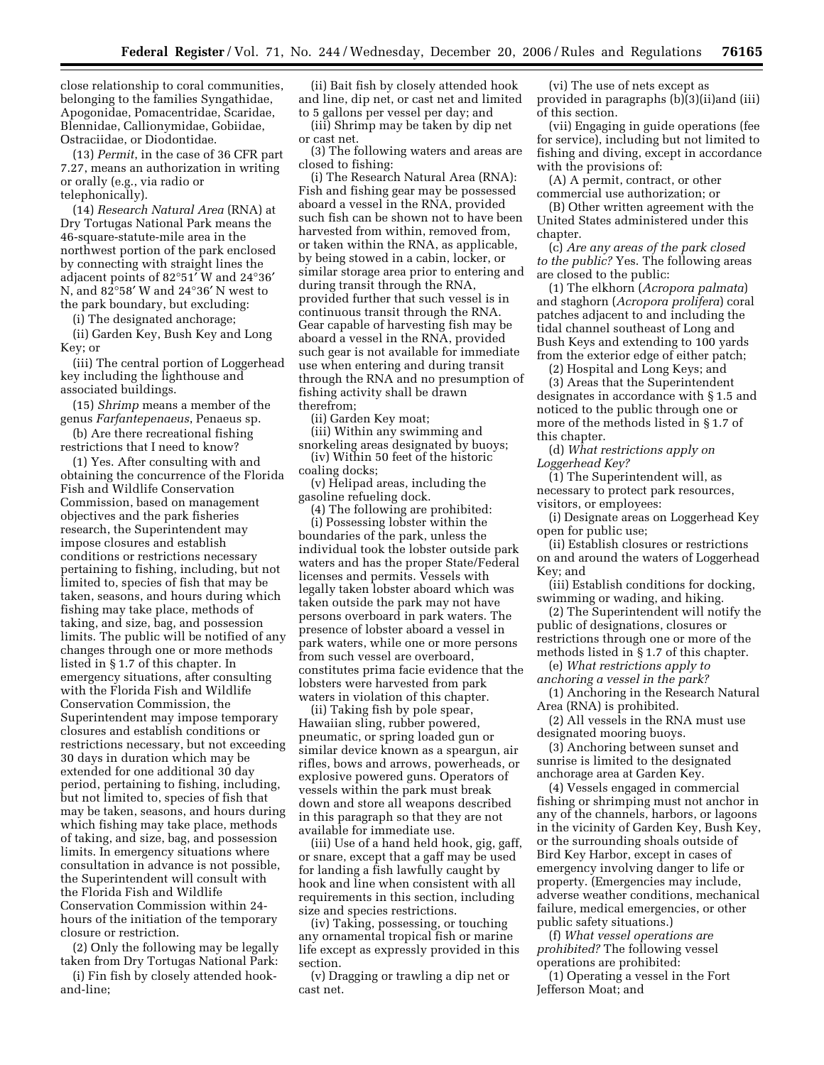close relationship to coral communities, belonging to the families Syngathidae, Apogonidae, Pomacentridae, Scaridae, Blennidae, Callionymidae, Gobiidae, Ostraciidae, or Diodontidae.

(13) *Permit*, in the case of 36 CFR part 7.27, means an authorization in writing or orally (e.g., via radio or telephonically).

(14) *Research Natural Area* (RNA) at Dry Tortugas National Park means the 46-square-statute-mile area in the northwest portion of the park enclosed by connecting with straight lines the adjacent points of 82°51′ W and 24°36′ N, and 82°58′ W and 24°36′ N west to the park boundary, but excluding:

(i) The designated anchorage;

(ii) Garden Key, Bush Key and Long Key; or

(iii) The central portion of Loggerhead key including the lighthouse and associated buildings.

(15) *Shrimp* means a member of the genus *Farfantepenaeus*, Penaeus sp.

(b) Are there recreational fishing restrictions that I need to know?

(1) Yes. After consulting with and obtaining the concurrence of the Florida Fish and Wildlife Conservation Commission, based on management objectives and the park fisheries research, the Superintendent may impose closures and establish conditions or restrictions necessary pertaining to fishing, including, but not limited to, species of fish that may be taken, seasons, and hours during which fishing may take place, methods of taking, and size, bag, and possession limits. The public will be notified of any changes through one or more methods listed in § 1.7 of this chapter. In emergency situations, after consulting with the Florida Fish and Wildlife Conservation Commission, the Superintendent may impose temporary closures and establish conditions or restrictions necessary, but not exceeding 30 days in duration which may be extended for one additional 30 day period, pertaining to fishing, including, but not limited to, species of fish that may be taken, seasons, and hours during which fishing may take place, methods of taking, and size, bag, and possession limits. In emergency situations where consultation in advance is not possible, the Superintendent will consult with the Florida Fish and Wildlife Conservation Commission within 24 hours of the initiation of the temporary closure or restriction.

(2) Only the following may be legally taken from Dry Tortugas National Park:

(i) Fin fish by closely attended hookand-line;

(ii) Bait fish by closely attended hook and line, dip net, or cast net and limited to 5 gallons per vessel per day; and

(iii) Shrimp may be taken by dip net or cast net.

(3) The following waters and areas are closed to fishing:

(i) The Research Natural Area (RNA): Fish and fishing gear may be possessed aboard a vessel in the RNA, provided such fish can be shown not to have been harvested from within, removed from, or taken within the RNA, as applicable, by being stowed in a cabin, locker, or similar storage area prior to entering and during transit through the RNA, provided further that such vessel is in continuous transit through the RNA. Gear capable of harvesting fish may be aboard a vessel in the RNA, provided such gear is not available for immediate use when entering and during transit through the RNA and no presumption of fishing activity shall be drawn therefrom;

(ii) Garden Key moat;

(iii) Within any swimming and snorkeling areas designated by buoys;

(iv) Within 50 feet of the historic coaling docks;

(v) Helipad areas, including the gasoline refueling dock.

(4) The following are prohibited: (i) Possessing lobster within the boundaries of the park, unless the individual took the lobster outside park waters and has the proper State/Federal licenses and permits. Vessels with legally taken lobster aboard which was taken outside the park may not have persons overboard in park waters. The presence of lobster aboard a vessel in park waters, while one or more persons from such vessel are overboard, constitutes prima facie evidence that the lobsters were harvested from park waters in violation of this chapter.

(ii) Taking fish by pole spear, Hawaiian sling, rubber powered, pneumatic, or spring loaded gun or similar device known as a speargun, air rifles, bows and arrows, powerheads, or explosive powered guns. Operators of vessels within the park must break down and store all weapons described in this paragraph so that they are not available for immediate use.

(iii) Use of a hand held hook, gig, gaff, or snare, except that a gaff may be used for landing a fish lawfully caught by hook and line when consistent with all requirements in this section, including size and species restrictions.

(iv) Taking, possessing, or touching any ornamental tropical fish or marine life except as expressly provided in this section.

(v) Dragging or trawling a dip net or cast net.

(vi) The use of nets except as provided in paragraphs (b)(3)(ii)and (iii) of this section.

(vii) Engaging in guide operations (fee for service), including but not limited to fishing and diving, except in accordance with the provisions of:

(A) A permit, contract, or other commercial use authorization; or

(B) Other written agreement with the United States administered under this chapter.

(c) *Are any areas of the park closed to the public?* Yes. The following areas are closed to the public:

(1) The elkhorn (*Acropora palmata*) and staghorn (*Acropora prolifera*) coral patches adjacent to and including the tidal channel southeast of Long and Bush Keys and extending to 100 yards from the exterior edge of either patch;

(2) Hospital and Long Keys; and

(3) Areas that the Superintendent designates in accordance with § 1.5 and noticed to the public through one or more of the methods listed in § 1.7 of this chapter.

(d) *What restrictions apply on Loggerhead Key?* 

(1) The Superintendent will, as necessary to protect park resources, visitors, or employees:

(i) Designate areas on Loggerhead Key open for public use;

(ii) Establish closures or restrictions on and around the waters of Loggerhead Key; and

(iii) Establish conditions for docking, swimming or wading, and hiking.

(2) The Superintendent will notify the public of designations, closures or restrictions through one or more of the methods listed in § 1.7 of this chapter.

(e) *What restrictions apply to* 

*anchoring a vessel in the park?*  (1) Anchoring in the Research Natural

Area (RNA) is prohibited.

(2) All vessels in the RNA must use designated mooring buoys.

(3) Anchoring between sunset and sunrise is limited to the designated anchorage area at Garden Key.

(4) Vessels engaged in commercial fishing or shrimping must not anchor in any of the channels, harbors, or lagoons in the vicinity of Garden Key, Bush Key, or the surrounding shoals outside of Bird Key Harbor, except in cases of emergency involving danger to life or property. (Emergencies may include, adverse weather conditions, mechanical failure, medical emergencies, or other public safety situations.)

(f) *What vessel operations are prohibited?* The following vessel operations are prohibited:

(1) Operating a vessel in the Fort Jefferson Moat; and